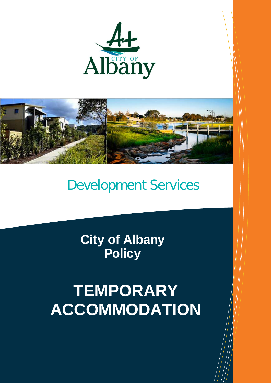



## Development Services

**City of Albany Policy**

# **TEMPORARY ACCOMMODATION**